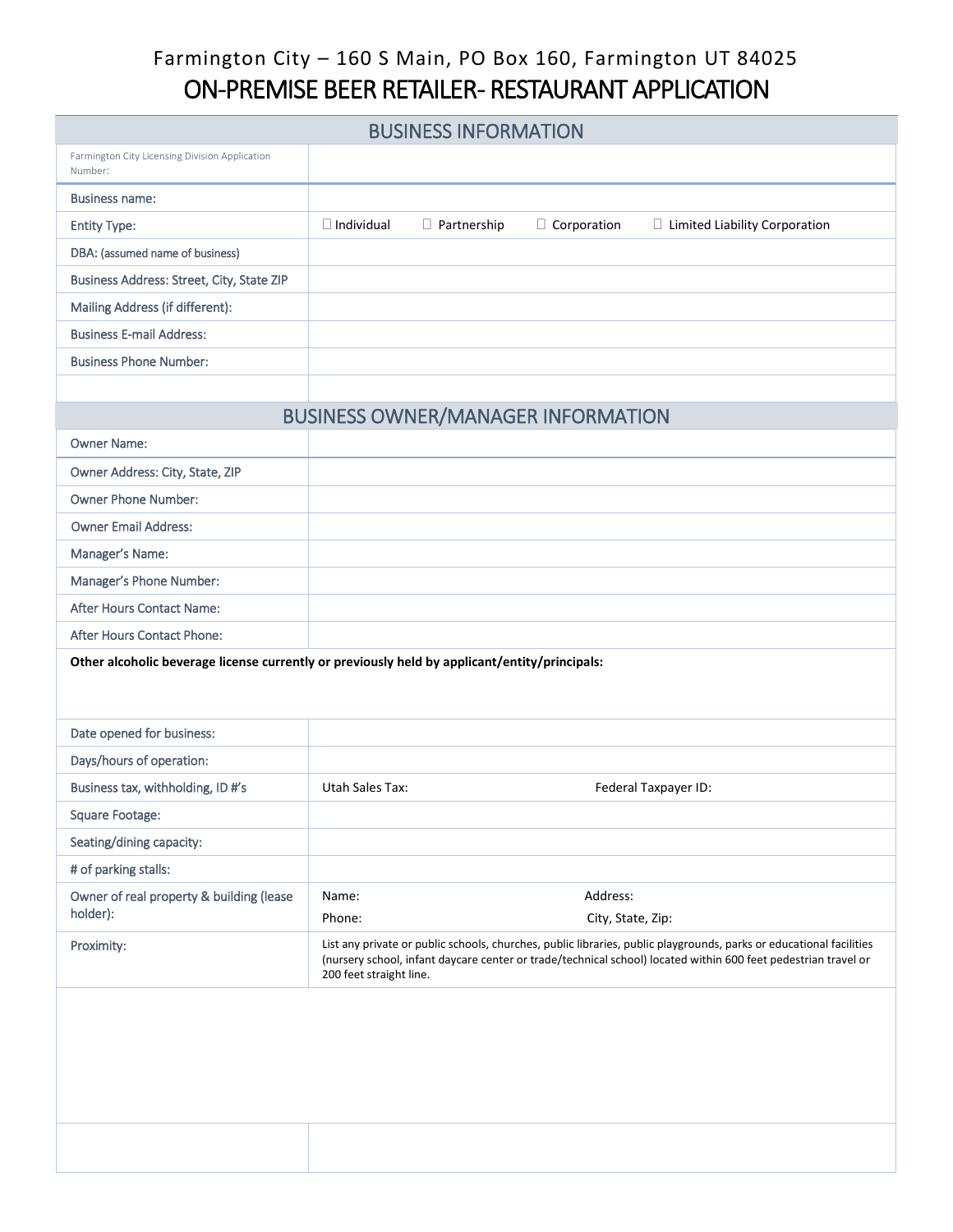# Farmington City – 160 S Main, PO Box 160, Farmington UT 84025 ON-PREMISE BEER RETAILER- RESTAURANT APPLICATION

| <b>BUSINESS INFORMATION</b> |                    |                    |                                                                                                                                                                                                                                       |  |
|-----------------------------|--------------------|--------------------|---------------------------------------------------------------------------------------------------------------------------------------------------------------------------------------------------------------------------------------|--|
|                             |                    |                    |                                                                                                                                                                                                                                       |  |
|                             |                    |                    |                                                                                                                                                                                                                                       |  |
| $\Box$ Individual           | $\Box$ Partnership | $\Box$ Corporation | $\Box$ Limited Liability Corporation                                                                                                                                                                                                  |  |
|                             |                    |                    |                                                                                                                                                                                                                                       |  |
|                             |                    |                    |                                                                                                                                                                                                                                       |  |
|                             |                    |                    |                                                                                                                                                                                                                                       |  |
|                             |                    |                    |                                                                                                                                                                                                                                       |  |
|                             |                    |                    |                                                                                                                                                                                                                                       |  |
|                             |                    |                    |                                                                                                                                                                                                                                       |  |
|                             |                    |                    |                                                                                                                                                                                                                                       |  |
|                             |                    |                    |                                                                                                                                                                                                                                       |  |
|                             |                    |                    |                                                                                                                                                                                                                                       |  |
|                             |                    |                    |                                                                                                                                                                                                                                       |  |
|                             |                    |                    |                                                                                                                                                                                                                                       |  |
|                             |                    |                    |                                                                                                                                                                                                                                       |  |
|                             |                    |                    |                                                                                                                                                                                                                                       |  |
|                             |                    |                    |                                                                                                                                                                                                                                       |  |
|                             |                    |                    |                                                                                                                                                                                                                                       |  |
|                             |                    |                    |                                                                                                                                                                                                                                       |  |
|                             |                    |                    |                                                                                                                                                                                                                                       |  |
|                             |                    |                    |                                                                                                                                                                                                                                       |  |
| <b>Utah Sales Tax:</b>      |                    |                    | Federal Taxpayer ID:                                                                                                                                                                                                                  |  |
|                             |                    |                    |                                                                                                                                                                                                                                       |  |
|                             |                    |                    |                                                                                                                                                                                                                                       |  |
|                             |                    |                    |                                                                                                                                                                                                                                       |  |
| Name:                       |                    | Address:           |                                                                                                                                                                                                                                       |  |
| Phone:                      |                    | City, State, Zip:  |                                                                                                                                                                                                                                       |  |
|                             |                    |                    |                                                                                                                                                                                                                                       |  |
| 200 feet straight line.     |                    |                    | List any private or public schools, churches, public libraries, public playgrounds, parks or educational facilities<br>(nursery school, infant daycare center or trade/technical school) located within 600 feet pedestrian travel or |  |
|                             |                    |                    | <b>BUSINESS OWNER/MANAGER INFORMATION</b><br>Other alcoholic beverage license currently or previously held by applicant/entity/principals:                                                                                            |  |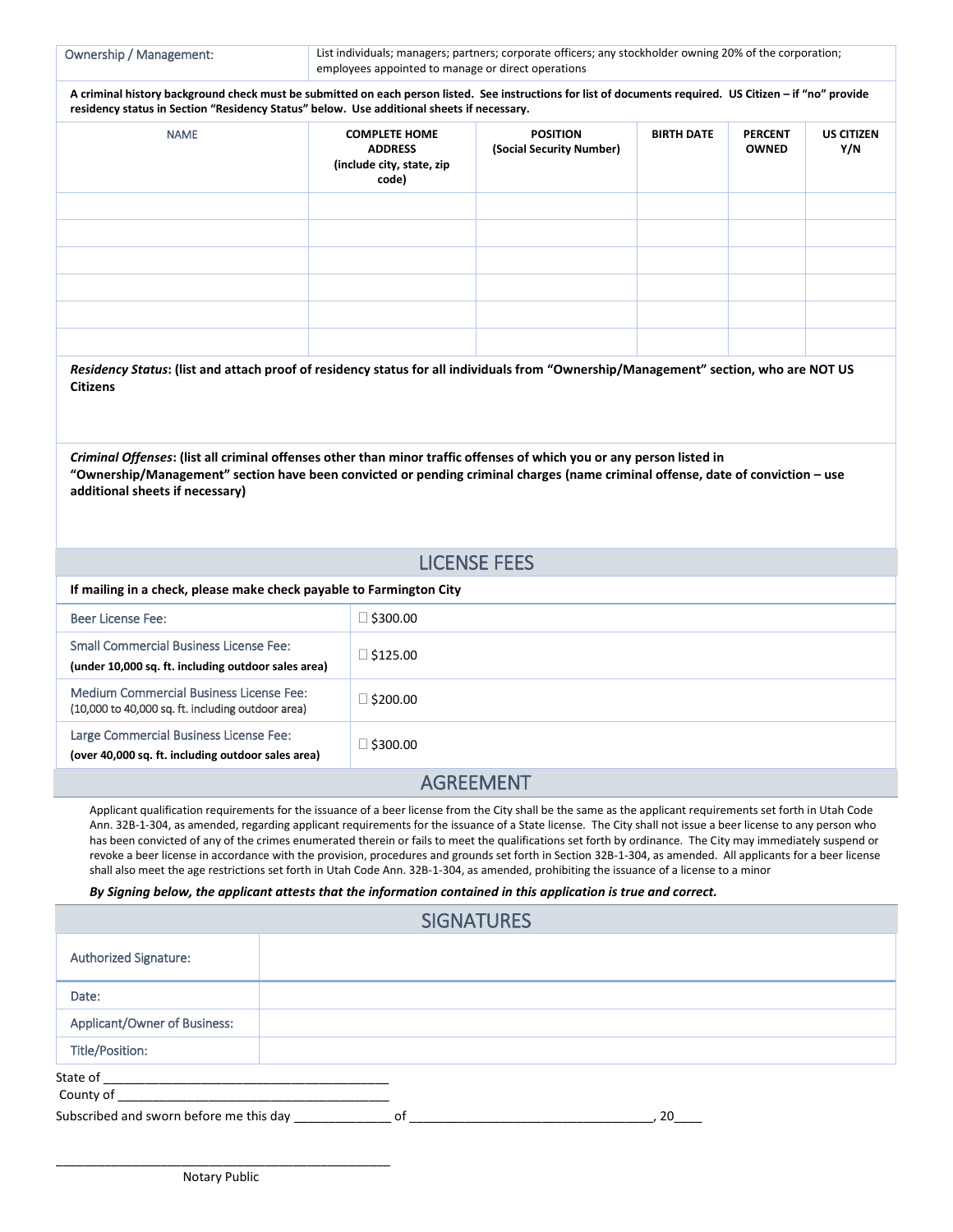Ownership / Management: List individuals; managers; partners; corporate officers; any stockholder owning 20% of the corporation; employees appointed to manage or direct operations

| A criminal history background check must be submitted on each person listed. See instructions for list of documents required. US Citizen - if "no" provide |
|------------------------------------------------------------------------------------------------------------------------------------------------------------|
| residency status in Section "Residency Status" below. Use additional sheets if necessary.                                                                  |

| <b>NAME</b> | <b>COMPLETE HOME</b><br><b>ADDRESS</b><br>(include city, state, zip<br>code) | <b>POSITION</b><br>(Social Security Number) | <b>BIRTH DATE</b> | <b>PERCENT</b><br><b>OWNED</b> | <b>US CITIZEN</b><br>Y/N |
|-------------|------------------------------------------------------------------------------|---------------------------------------------|-------------------|--------------------------------|--------------------------|
|             |                                                                              |                                             |                   |                                |                          |
|             |                                                                              |                                             |                   |                                |                          |
|             |                                                                              |                                             |                   |                                |                          |
|             |                                                                              |                                             |                   |                                |                          |
|             |                                                                              |                                             |                   |                                |                          |
|             |                                                                              |                                             |                   |                                |                          |

| Residency Status: (list and attach proof of residency status for all individuals from "Ownership/Management" section, who are NOT US |  |  |
|--------------------------------------------------------------------------------------------------------------------------------------|--|--|
| <b>Citizens</b>                                                                                                                      |  |  |

*Criminal Offenses***: (list all criminal offenses other than minor traffic offenses of which you or any person listed in "Ownership/Management" section have been convicted or pending criminal charges (name criminal offense, date of conviction – use additional sheets if necessary)**

### LICENSE FEES

| If mailing in a check, please make check payable to Farmington City                           |                 |  |  |
|-----------------------------------------------------------------------------------------------|-----------------|--|--|
| Beer License Fee:                                                                             | $\Box$ \$300.00 |  |  |
| Small Commercial Business License Fee:<br>(under 10,000 sq. ft. including outdoor sales area) | $\Box$ \$125.00 |  |  |
| Medium Commercial Business License Fee:<br>(10,000 to 40,000 sq. ft. including outdoor area)  | $\Box$ \$200.00 |  |  |
| Large Commercial Business License Fee:<br>(over 40,000 sq. ft. including outdoor sales area)  | $\Box$ \$300.00 |  |  |
|                                                                                               |                 |  |  |

#### AGREEMENT

Applicant qualification requirements for the issuance of a beer license from the City shall be the same as the applicant requirements set forth in Utah Code Ann. 32B-1-304, as amended, regarding applicant requirements for the issuance of a State license. The City shall not issue a beer license to any person who has been convicted of any of the crimes enumerated therein or fails to meet the qualifications set forth by ordinance. The City may immediately suspend or revoke a beer license in accordance with the provision, procedures and grounds set forth in Section 32B-1-304, as amended. All applicants for a beer license shall also meet the age restrictions set forth in Utah Code Ann. 32B-1-304, as amended, prohibiting the issuance of a license to a minor

*By Signing below, the applicant attests that the information contained in this application is true and correct.*

| <b>SIGNATURES</b>                          |  |    |  |    |  |
|--------------------------------------------|--|----|--|----|--|
| <b>Authorized Signature:</b>               |  |    |  |    |  |
| Date:                                      |  |    |  |    |  |
| Applicant/Owner of Business:               |  |    |  |    |  |
| Title/Position:                            |  |    |  |    |  |
| State of<br>County of                      |  |    |  |    |  |
| Subscribed and sworn before me this day __ |  | 0f |  | 20 |  |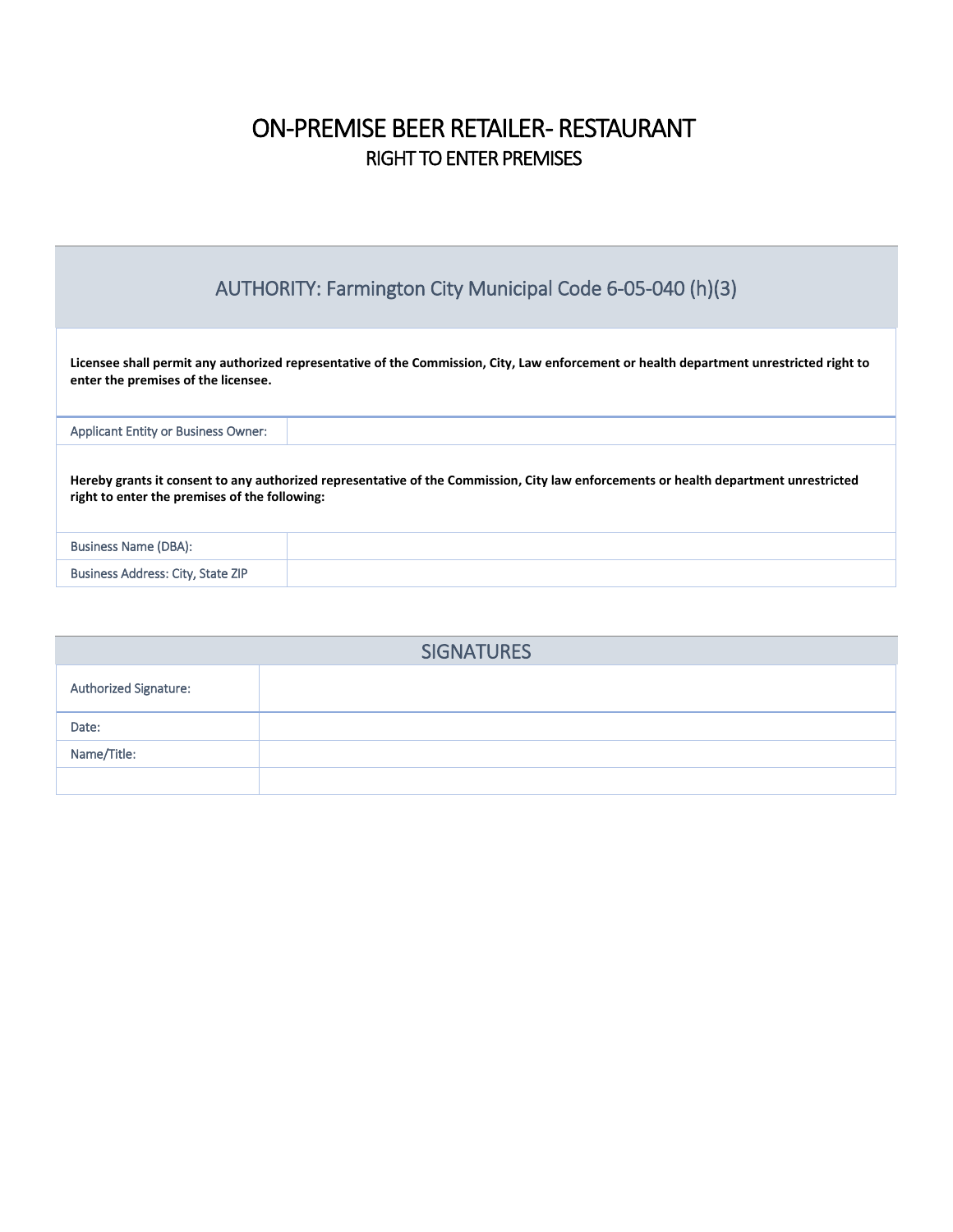## ON-PREMISE BEER RETAILER- RESTAURANT RIGHT TO ENTER PREMISES

| AUTHORITY: Farmington City Municipal Code 6-05-040 (h)(3)                                                                                                                             |                                                                                                                                         |  |  |  |
|---------------------------------------------------------------------------------------------------------------------------------------------------------------------------------------|-----------------------------------------------------------------------------------------------------------------------------------------|--|--|--|
| enter the premises of the licensee.                                                                                                                                                   | Licensee shall permit any authorized representative of the Commission, City, Law enforcement or health department unrestricted right to |  |  |  |
| <b>Applicant Entity or Business Owner:</b>                                                                                                                                            |                                                                                                                                         |  |  |  |
| Hereby grants it consent to any authorized representative of the Commission, City law enforcements or health department unrestricted<br>right to enter the premises of the following: |                                                                                                                                         |  |  |  |
| Business Name (DBA):                                                                                                                                                                  |                                                                                                                                         |  |  |  |
| Business Address: City, State ZIP                                                                                                                                                     |                                                                                                                                         |  |  |  |

| <b>SIGNATURES</b>     |  |  |  |  |
|-----------------------|--|--|--|--|
| Authorized Signature: |  |  |  |  |
| Date:                 |  |  |  |  |
| Name/Title:           |  |  |  |  |
|                       |  |  |  |  |